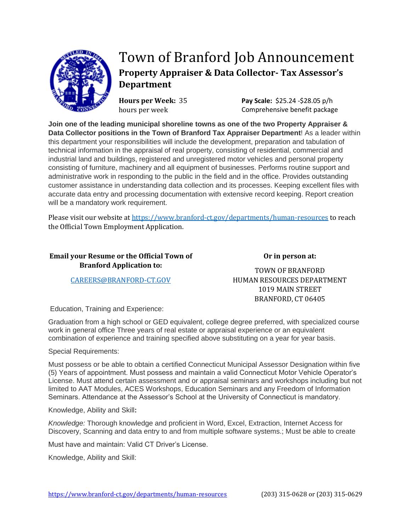

## Town of Branford Job Announcement **Property Appraiser & Data Collector- Tax Assessor's Department**

**Hours per Week:** 35 hours per week

**Pay Scale:** \$25.24 -\$28.05 p/h Comprehensive benefit package

**Join one of the leading municipal shoreline towns as one of the two Property Appraiser & Data Collector positions in the Town of Branford Tax Appraiser Department**! As a leader within this department your responsibilities will include the development, preparation and tabulation of technical information in the appraisal of real property, consisting of residential, commercial and industrial land and buildings, registered and unregistered motor vehicles and personal property consisting of furniture, machinery and all equipment of businesses. Performs routine support and administrative work in responding to the public in the field and in the office. Provides outstanding customer assistance in understanding data collection and its processes. Keeping excellent files with accurate data entry and processing documentation with extensive record keeping. Report creation will be a mandatory work requirement.

Please visit our website a[t https://www.branford-ct.gov/departments/human-resources](https://www.branford-ct.gov/departments/human-resources) to reach the Official Town Employment Application.

## **Email your Resume or the Official Town of Branford Application to:**

**Or in person at:**

[CAREERS@BRANFORD-CT.GOV](mailto:CAREERS@BRANFORD-CT.GOV)

TOWN OF BRANFORD HUMAN RESOURCES DEPARTMENT 1019 MAIN STREET BRANFORD, CT 06405

Education, Training and Experience:

Graduation from a high school or GED equivalent, college degree preferred, with specialized course work in general office Three years of real estate or appraisal experience or an equivalent combination of experience and training specified above substituting on a year for year basis.

Special Requirements:

Must possess or be able to obtain a certified Connecticut Municipal Assessor Designation within five (5) Years of appointment. Must possess and maintain a valid Connecticut Motor Vehicle Operator's License. Must attend certain assessment and or appraisal seminars and workshops including but not limited to AAT Modules, ACES Workshops, Education Seminars and any Freedom of Information Seminars. Attendance at the Assessor's School at the University of Connecticut is mandatory.

Knowledge, Ability and Skill**:**

*Knowledge:* Thorough knowledge and proficient in Word, Excel, Extraction, Internet Access for Discovery, Scanning and data entry to and from multiple software systems.; Must be able to create

Must have and maintain: Valid CT Driver's License.

Knowledge, Ability and Skill: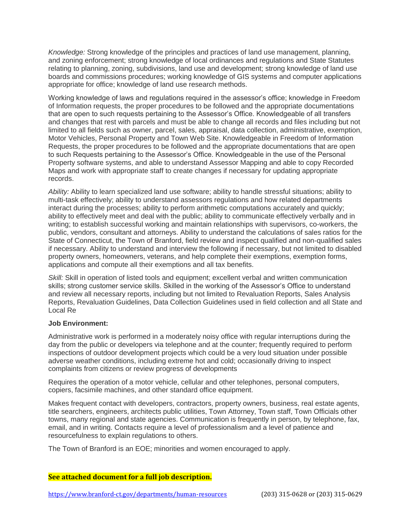*Knowledge:* Strong knowledge of the principles and practices of land use management, planning, and zoning enforcement; strong knowledge of local ordinances and regulations and State Statutes relating to planning, zoning, subdivisions, land use and development; strong knowledge of land use boards and commissions procedures; working knowledge of GIS systems and computer applications appropriate for office; knowledge of land use research methods.

Working knowledge of laws and regulations required in the assessor's office; knowledge in Freedom of Information requests, the proper procedures to be followed and the appropriate documentations that are open to such requests pertaining to the Assessor's Office. Knowledgeable of all transfers and changes that rest with parcels and must be able to change all records and files including but not limited to all fields such as owner, parcel, sales, appraisal, data collection, administrative, exemption, Motor Vehicles, Personal Property and Town Web Site. Knowledgeable in Freedom of Information Requests, the proper procedures to be followed and the appropriate documentations that are open to such Requests pertaining to the Assessor's Office. Knowledgeable in the use of the Personal Property software systems, and able to understand Assessor Mapping and able to copy Recorded Maps and work with appropriate staff to create changes if necessary for updating appropriate records.

*Ability:* Ability to learn specialized land use software; ability to handle stressful situations; ability to multi-task effectively; ability to understand assessors regulations and how related departments interact during the processes; ability to perform arithmetic computations accurately and quickly; ability to effectively meet and deal with the public; ability to communicate effectively verbally and in writing; to establish successful working and maintain relationships with supervisors, co-workers, the public, vendors, consultant and attorneys. Ability to understand the calculations of sales ratios for the State of Connecticut, the Town of Branford, field review and inspect qualified and non-qualified sales if necessary. Ability to understand and interview the following if necessary, but not limited to disabled property owners, homeowners, veterans, and help complete their exemptions, exemption forms, applications and compute all their exemptions and all tax benefits.

*Skill:* Skill in operation of listed tools and equipment; excellent verbal and written communication skills; strong customer service skills. Skilled in the working of the Assessor's Office to understand and review all necessary reports, including but not limited to Revaluation Reports, Sales Analysis Reports, Revaluation Guidelines, Data Collection Guidelines used in field collection and all State and Local Re

## **Job Environment:**

Administrative work is performed in a moderately noisy office with regular interruptions during the day from the public or developers via telephone and at the counter; frequently required to perform inspections of outdoor development projects which could be a very loud situation under possible adverse weather conditions, including extreme hot and cold; occasionally driving to inspect complaints from citizens or review progress of developments

Requires the operation of a motor vehicle, cellular and other telephones, personal computers, copiers, facsimile machines, and other standard office equipment.

Makes frequent contact with developers, contractors, property owners, business, real estate agents, title searchers, engineers, architects public utilities, Town Attorney, Town staff, Town Officials other towns, many regional and state agencies. Communication is frequently in person, by telephone, fax, email, and in writing. Contacts require a level of professionalism and a level of patience and resourcefulness to explain regulations to others.

The Town of Branford is an EOE; minorities and women encouraged to apply.

## **See attached document for a full job description.**